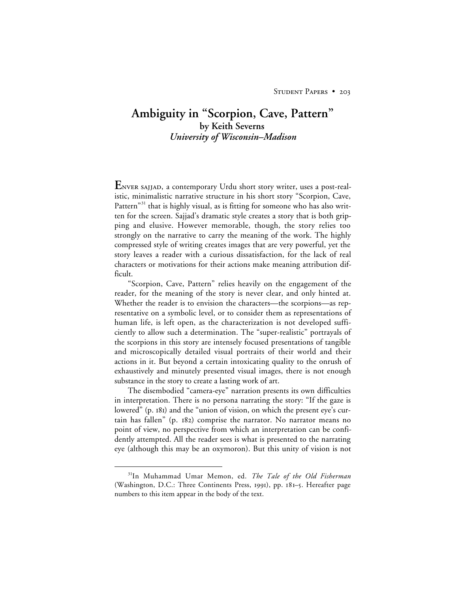## **Ambiguity in "Scorpion, Cave, Pattern" by Keith Severns** *University of Wisconsin–Madison*

**E** NVER SAJJAD, a contemporary Urdu short story writer, uses a post-realistic, minimalistic narrative structure in his short story "Scorpion, Cave, Pattern"<sup>31</sup> that is highly visual, as is fitting for someone who has also written for the screen. Sajjad's dramatic style creates a story that is both gripping and elusive. However memorable, though, the story relies too strongly on the narrative to carry the meaning of the work. The highly compressed style of writing creates images that are very powerful, yet the story leaves a reader with a curious dissatisfaction, for the lack of real characters or motivations for their actions make meaning attribution difficult.

"Scorpion, Cave, Pattern" relies heavily on the engagement of the reader, for the meaning of the story is never clear, and only hinted at. Whether the reader is to envision the characters—the scorpions—as representative on a symbolic level, or to consider them as representations of human life, is left open, as the characterization is not developed sufficiently to allow such a determination. The "super-realistic" portrayals of the scorpions in this story are intensely focused presentations of tangible and microscopically detailed visual portraits of their world and their actions in it. But beyond a certain intoxicating quality to the onrush of exhaustively and minutely presented visual images, there is not enough substance in the story to create a lasting work of art.

The disembodied "camera-eye" narration presents its own difficulties in interpretation. There is no persona narrating the story: "If the gaze is lowered" (p. 181) and the "union of vision, on which the present eye's curtain has fallen" (p.  $182$ ) comprise the narrator. No narrator means no point of view, no perspective from which an interpretation can be confidently attempted. All the reader sees is what is presented to the narrating eye (although this may be an oxymoron). But this unity of vision is not

 <sup>31</sup>In Muhammad Umar Memon, ed. *The Tale of the Old Fisherman* (Washington, D.C.: Three Continents Press, 1991), pp. 181-5. Hereafter page numbers to this item appear in the body of the text.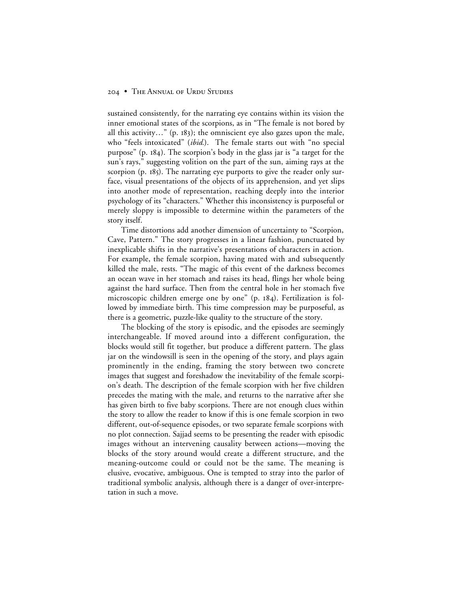## 204 • THE ANNUAL OF URDU STUDIES

sustained consistently, for the narrating eye contains within its vision the inner emotional states of the scorpions, as in "The female is not bored by all this activity..." (p.  $183$ ); the omniscient eye also gazes upon the male, who "feels intoxicated" (*ibid.*). The female starts out with "no special purpose" (p. 184). The scorpion's body in the glass jar is "a target for the sun's rays," suggesting volition on the part of the sun, aiming rays at the scorpion (p. 185). The narrating eye purports to give the reader only surface, visual presentations of the objects of its apprehension, and yet slips into another mode of representation, reaching deeply into the interior psychology of its "characters." Whether this inconsistency is purposeful or merely sloppy is impossible to determine within the parameters of the story itself.

Time distortions add another dimension of uncertainty to "Scorpion, Cave, Pattern." The story progresses in a linear fashion, punctuated by inexplicable shifts in the narrative's presentations of characters in action. For example, the female scorpion, having mated with and subsequently killed the male, rests. "The magic of this event of the darkness becomes an ocean wave in her stomach and raises its head, flings her whole being against the hard surface. Then from the central hole in her stomach five microscopic children emerge one by one" (p. 184). Fertilization is followed by immediate birth. This time compression may be purposeful, as there is a geometric, puzzle-like quality to the structure of the story.

The blocking of the story is episodic, and the episodes are seemingly interchangeable. If moved around into a different configuration, the blocks would still fit together, but produce a different pattern. The glass jar on the windowsill is seen in the opening of the story, and plays again prominently in the ending, framing the story between two concrete images that suggest and foreshadow the inevitability of the female scorpion's death. The description of the female scorpion with her five children precedes the mating with the male, and returns to the narrative after she has given birth to five baby scorpions. There are not enough clues within the story to allow the reader to know if this is one female scorpion in two different, out-of-sequence episodes, or two separate female scorpions with no plot connection. Sajjad seems to be presenting the reader with episodic images without an intervening causality between actions—moving the blocks of the story around would create a different structure, and the meaning-outcome could or could not be the same. The meaning is elusive, evocative, ambiguous. One is tempted to stray into the parlor of traditional symbolic analysis, although there is a danger of over-interpretation in such a move.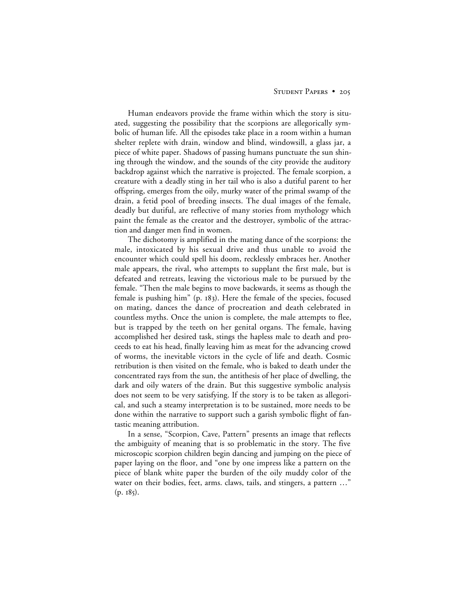## STUDENT PAPERS • 205

Human endeavors provide the frame within which the story is situated, suggesting the possibility that the scorpions are allegorically symbolic of human life. All the episodes take place in a room within a human shelter replete with drain, window and blind, windowsill, a glass jar, a piece of white paper. Shadows of passing humans punctuate the sun shining through the window, and the sounds of the city provide the auditory backdrop against which the narrative is projected. The female scorpion, a creature with a deadly sting in her tail who is also a dutiful parent to her offspring, emerges from the oily, murky water of the primal swamp of the drain, a fetid pool of breeding insects. The dual images of the female, deadly but dutiful, are reflective of many stories from mythology which paint the female as the creator and the destroyer, symbolic of the attraction and danger men find in women.

The dichotomy is amplified in the mating dance of the scorpions: the male, intoxicated by his sexual drive and thus unable to avoid the encounter which could spell his doom, recklessly embraces her. Another male appears, the rival, who attempts to supplant the first male, but is defeated and retreats, leaving the victorious male to be pursued by the female. "Then the male begins to move backwards, it seems as though the female is pushing him" (p. 183). Here the female of the species, focused on mating, dances the dance of procreation and death celebrated in countless myths. Once the union is complete, the male attempts to flee, but is trapped by the teeth on her genital organs. The female, having accomplished her desired task, stings the hapless male to death and proceeds to eat his head, finally leaving him as meat for the advancing crowd of worms, the inevitable victors in the cycle of life and death. Cosmic retribution is then visited on the female, who is baked to death under the concentrated rays from the sun, the antithesis of her place of dwelling, the dark and oily waters of the drain. But this suggestive symbolic analysis does not seem to be very satisfying. If the story is to be taken as allegorical, and such a steamy interpretation is to be sustained, more needs to be done within the narrative to support such a garish symbolic flight of fantastic meaning attribution.

In a sense, "Scorpion, Cave, Pattern" presents an image that reflects the ambiguity of meaning that is so problematic in the story. The five microscopic scorpion children begin dancing and jumping on the piece of paper laying on the floor, and "one by one impress like a pattern on the piece of blank white paper the burden of the oily muddy color of the water on their bodies, feet, arms. claws, tails, and stingers, a pattern ..."  $(p. 185).$